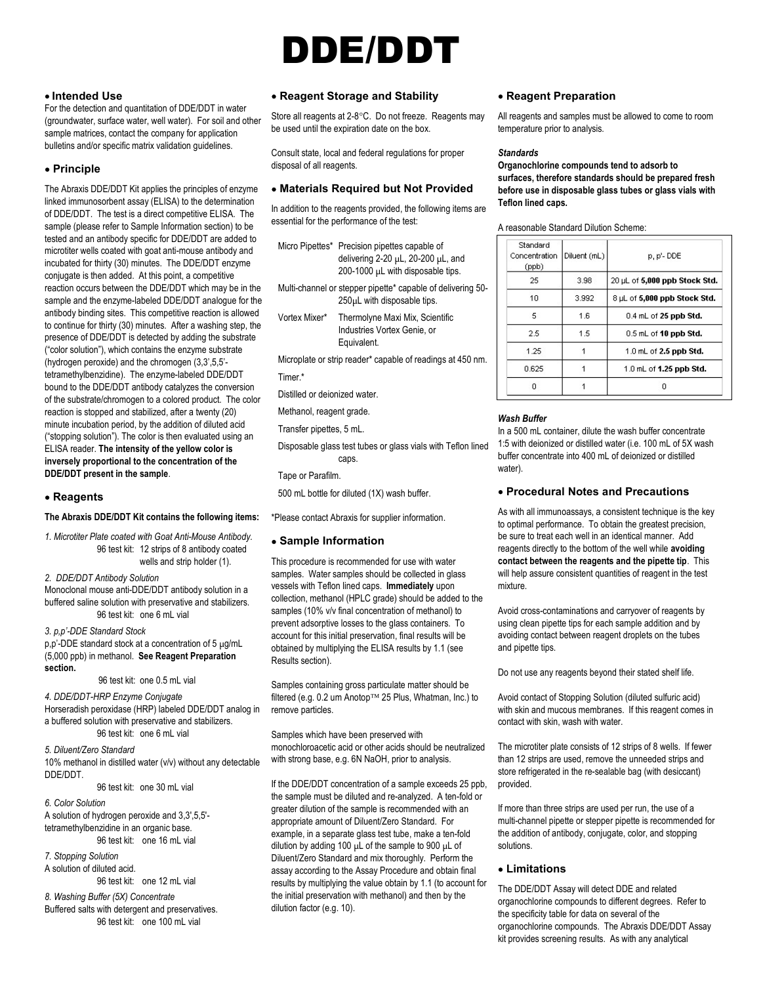# DDE/DDT

# • Intended Use

For the detection and quantitation of DDE/DDT in water (groundwater, surface water, well water). For soil and other sample matrices, contact the company for application bulletins and/or specific matrix validation guidelines.

# Principle

The Abraxis DDE/DDT Kit applies the principles of enzyme linked immunosorbent assay (ELISA) to the determination of DDE/DDT. The test is a direct competitive ELISA. The sample (please refer to Sample Information section) to be tested and an antibody specific for DDE/DDT are added to microtiter wells coated with goat anti-mouse antibody and incubated for thirty (30) minutes. The DDE/DDT enzyme conjugate is then added. At this point, a competitive reaction occurs between the DDE/DDT which may be in the sample and the enzyme-labeled DDE/DDT analogue for the antibody binding sites. This competitive reaction is allowed to continue for thirty (30) minutes. After a washing step, the presence of DDE/DDT is detected by adding the substrate ("color solution"), which contains the enzyme substrate (hydrogen peroxide) and the chromogen (3,3',5,5' tetramethylbenzidine). The enzyme-labeled DDE/DDT bound to the DDE/DDT antibody catalyzes the conversion of the substrate/chromogen to a colored product. The color reaction is stopped and stabilized, after a twenty (20) minute incubation period, by the addition of diluted acid ("stopping solution"). The color is then evaluated using an ELISA reader. The intensity of the yellow color is inversely proportional to the concentration of the DDE/DDT present in the sample.

#### Reagents

#### The Abraxis DDE/DDT Kit contains the following items:

1. Microtiter Plate coated with Goat Anti-Mouse Antibody. 96 test kit: 12 strips of 8 antibody coated wells and strip holder (1).

2. DDE/DDT Antibody Solution

Monoclonal mouse anti-DDE/DDT antibody solution in a buffered saline solution with preservative and stabilizers. 96 test kit: one 6 mL vial

3. p,p'-DDE Standard Stock p,p'-DDE standard stock at a concentration of 5 µg/mL (5,000 ppb) in methanol. See Reagent Preparation section.

96 test kit: one 0.5 mL vial

4. DDE/DDT-HRP Enzyme Conjugate Horseradish peroxidase (HRP) labeled DDE/DDT analog in a buffered solution with preservative and stabilizers. 96 test kit: one 6 mL vial

5. Diluent/Zero Standard 10% methanol in distilled water (v/v) without any detectable DDE/DDT.

96 test kit: one 30 mL vial

6. Color Solution A solution of hydrogen peroxide and 3,3',5,5' tetramethylbenzidine in an organic base. 96 test kit: one 16 mL vial

7. Stopping Solution A solution of diluted acid. 96 test kit: one 12 mL vial

8. Washing Buffer (5X) Concentrate Buffered salts with detergent and preservatives. 96 test kit: one 100 mL vial

## Reagent Storage and Stability

Store all reagents at 2-8°C. Do not freeze. Reagents may be used until the expiration date on the box.

Consult state, local and federal regulations for proper disposal of all reagents.

#### Materials Required but Not Provided

In addition to the reagents provided, the following items are essential for the performance of the test:

| Micro Pipettes* Precision pipettes capable of  |  |
|------------------------------------------------|--|
| delivering $2-20 \mu L$ , $20-200 \mu L$ , and |  |
| 200-1000 $\mu$ L with disposable tips.         |  |

- Multi-channel or stepper pipette\* capable of delivering 50- 250µL with disposable tips.
- Vortex Mixer\* Thermolyne Maxi Mix, Scientific Industries Vortex Genie, or Equivalent.

 Microplate or strip reader\* capable of readings at 450 nm. Timer.\*

Distilled or deionized water.

Methanol, reagent grade.

Transfer pipettes, 5 mL.

 Disposable glass test tubes or glass vials with Teflon lined caps.

Tape or Parafilm.

500 mL bottle for diluted (1X) wash buffer.

\*Please contact Abraxis for supplier information.

### Sample Information

This procedure is recommended for use with water samples. Water samples should be collected in glass vessels with Teflon lined caps. Immediately upon collection, methanol (HPLC grade) should be added to the samples (10% v/v final concentration of methanol) to prevent adsorptive losses to the glass containers. To account for this initial preservation, final results will be obtained by multiplying the ELISA results by 1.1 (see Results section).

Samples containing gross particulate matter should be filtered (e.g. 0.2 um Anotop™ 25 Plus, Whatman, Inc.) to remove particles.

Samples which have been preserved with monochloroacetic acid or other acids should be neutralized with strong base, e.g. 6N NaOH, prior to analysis.

If the DDE/DDT concentration of a sample exceeds 25 ppb, the sample must be diluted and re-analyzed. A ten-fold or greater dilution of the sample is recommended with an appropriate amount of Diluent/Zero Standard. For example, in a separate glass test tube, make a ten-fold dilution by adding 100 µL of the sample to 900 µL of Diluent/Zero Standard and mix thoroughly. Perform the assay according to the Assay Procedure and obtain final results by multiplying the value obtain by 1.1 (to account for the initial preservation with methanol) and then by the dilution factor (e.g. 10).

# Reagent Preparation

All reagents and samples must be allowed to come to room temperature prior to analysis.

#### **Standards**

Organochlorine compounds tend to adsorb to surfaces, therefore standards should be prepared fresh before use in disposable glass tubes or glass vials with Teflon lined caps.

| A reasonable Standard Dilution Scheme: |  |  |  |  |  |
|----------------------------------------|--|--|--|--|--|
|----------------------------------------|--|--|--|--|--|

| Standard<br>Concentration<br>(ppb) | Diluent (mL) | p, p'-DDE                      |
|------------------------------------|--------------|--------------------------------|
| 25                                 | 3.98         | 20 µL of 5,000 ppb Stock Std.  |
| 10                                 | 3.992        | 8 µL of 5,000 ppb Stock Std.   |
| 5.                                 | 1.6          | $0.4$ mL of 25 ppb Std.        |
| 25                                 | 1.5          | $0.5$ mL of 10 ppb Std.        |
| 1.25                               |              | $1.0$ mL of 2.5 ppb Std.       |
| A 625.                             |              | 1.0 mL of <b>1.25 ppb Std.</b> |
| Ω                                  |              | п                              |

### Wash Buffer

In a 500 mL container, dilute the wash buffer concentrate 1:5 with deionized or distilled water (i.e. 100 mL of 5X wash buffer concentrate into 400 mL of deionized or distilled water).

### Procedural Notes and Precautions

As with all immunoassays, a consistent technique is the key to optimal performance. To obtain the greatest precision, be sure to treat each well in an identical manner. Add reagents directly to the bottom of the well while avoiding contact between the reagents and the pipette tip. This will help assure consistent quantities of reagent in the test mixture.

Avoid cross-contaminations and carryover of reagents by using clean pipette tips for each sample addition and by avoiding contact between reagent droplets on the tubes and pipette tips.

Do not use any reagents beyond their stated shelf life.

Avoid contact of Stopping Solution (diluted sulfuric acid) with skin and mucous membranes. If this reagent comes in contact with skin, wash with water.

The microtiter plate consists of 12 strips of 8 wells. If fewer than 12 strips are used, remove the unneeded strips and store refrigerated in the re-sealable bag (with desiccant) provided.

If more than three strips are used per run, the use of a multi-channel pipette or stepper pipette is recommended for the addition of antibody, conjugate, color, and stopping solutions.

# Limitations

The DDE/DDT Assay will detect DDE and related organochlorine compounds to different degrees. Refer to the specificity table for data on several of the organochlorine compounds. The Abraxis DDE/DDT Assay kit provides screening results. As with any analytical